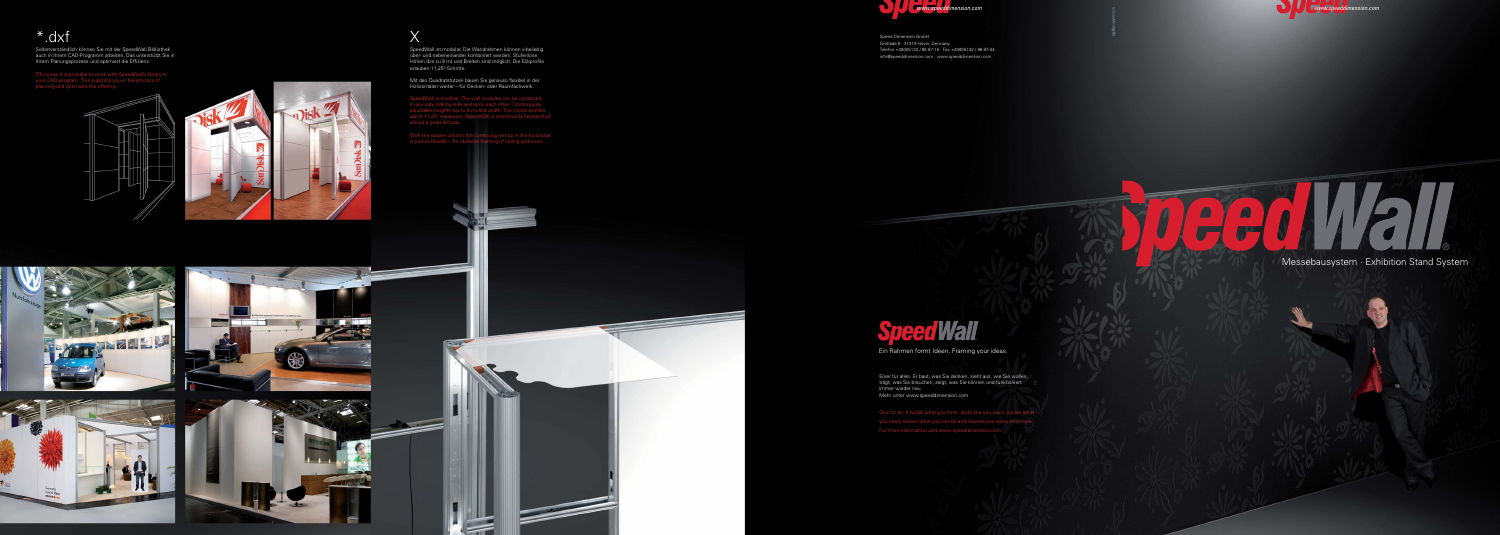\*.dxf

Of course it is possible to work with SpeedWall's library in your CAD program. This supports you in the process of  $\frac{1}{2}$  and  $\frac{1}{2}$  is the effiency.





Selbstverständlich können Sie mit der SpeedWall Bibliothek auch in Ihrem CAD-Programm arbeiten. Das unterstützt Sie in Ihrem Planungsprozess und optimiert die Effizienz.

### $\triangle$ A  $\sim 30$ ®

#### Messebausystem · Exhibition Stand System



Speed Dimension GmbH Gretlade 5 · 31319 Höver, Germany Telefon +49(0)5132 / 86 87-15 · Fax +49(0)5132 / 86 87-44 info@speeddimension.com · www.speeddimension.com

# **Speed Wall**



### X

SpeedWall ist modular. Die Wandrahmen können x-beliebig über- und nebeneinander kombiniert werden. Stufenlose Höhen (bis zu 9 m) und Breiten sind möglich. Die Eckprofile erlauben 11,25°-Schritte.

Mit den Quadratstützen bauen Sie genauso flexibel in der Horizontalen weiter – für Decken- oder Raumfachwerk.

SpeedWall is modular. The wall modules can be combined in any way side by side and upon each other. Continuously adjustable heights (up to 9 m) and width. The corner profiles admit 11,25° measures. SpeedWall is enormously flexible that allows a great latitude.

With the square column the continuing set up in the horizontal is just as flexible – for skeleton framing of ceiling and room.









Ein Rahmen formt Ideen. Framing your ideas.

Einer für alles. Er baut, was Sie denken, sieht aus, wie Sie wollen, trägt, was Sie brauchen, zeigt, was Sie können und funktioniert immer wieder neu. Mehr unter www.speeddimension.com

One for all. It builds what you think, looks like you want, carries what you need, shows what you can do and inspires you every time new. For more information visit www.speeddimension.com